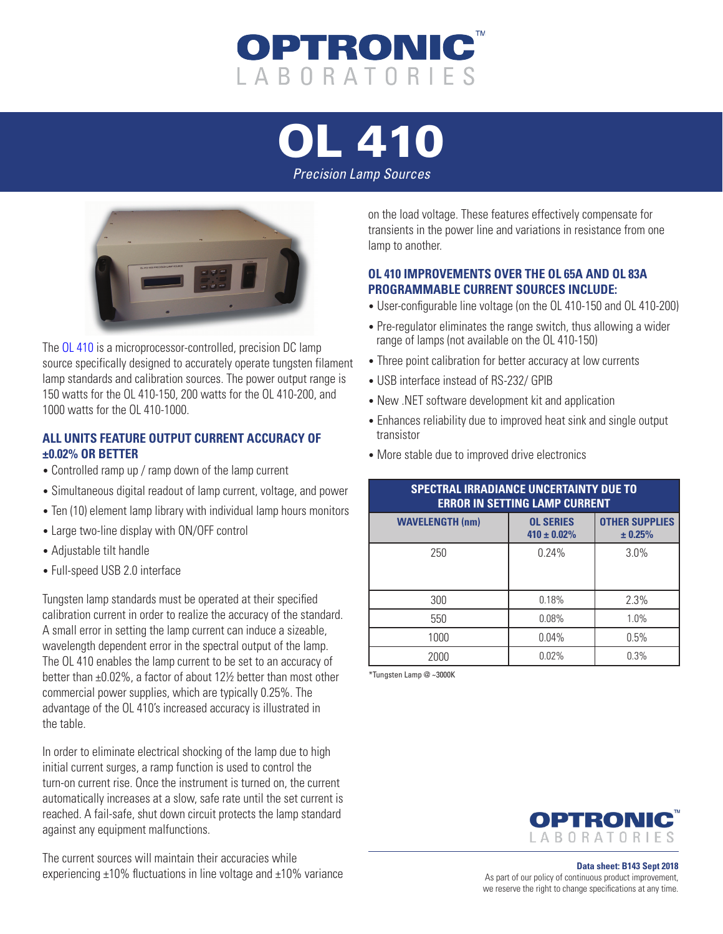

[OL 410](https://optroniclabs.com/products/precision-constant-current-sources/ol-410-precision-lamp-source/)

*Precision Lamp Sources*



The [OL 410](https://optroniclabs.com/products/precision-constant-current-sources/ol-410-precision-lamp-source/) is a microprocessor-controlled, precision DC lamp source specifically designed to accurately operate tungsten filament lamp standards and calibration sources. The power output range is 150 watts for the OL 410-150, 200 watts for the OL 410-200, and 1000 watts for the OL 410-1000.

## **ALL UNITS FEATURE OUTPUT CURRENT ACCURACY OF ±0.02% OR BETTER**

- Controlled ramp up / ramp down of the lamp current
- Simultaneous digital readout of lamp current, voltage, and power
- Ten (10) element lamp library with individual lamp hours monitors
- Large two-line display with ON/OFF control
- Adjustable tilt handle
- Full-speed USB 2.0 interface

Tungsten lamp standards must be operated at their specified calibration current in order to realize the accuracy of the standard. A small error in setting the lamp current can induce a sizeable, wavelength dependent error in the spectral output of the lamp. The OL 410 enables the lamp current to be set to an accuracy of better than ±0.02%, a factor of about 12½ better than most other commercial power supplies, which are typically 0.25%. The advantage of the OL 410's increased accuracy is illustrated in the table.

In order to eliminate electrical shocking of the lamp due to high initial current surges, a ramp function is used to control the turn-on current rise. Once the instrument is turned on, the current automatically increases at a slow, safe rate until the set current is reached. A fail-safe, shut down circuit protects the lamp standard against any equipment malfunctions.

The current sources will maintain their accuracies while experiencing ±10% fluctuations in line voltage and ±10% variance

on the load voltage. These features effectively compensate for transients in the power line and variations in resistance from one lamp to another.

## **OL 410 IMPROVEMENTS OVER THE OL 65A AND OL 83A PROGRAMMABLE CURRENT SOURCES INCLUDE:**

- User-configurable line voltage (on the OL 410-150 and OL 410-200)
- Pre-regulator eliminates the range switch, thus allowing a wider range of lamps (not available on the OL 410-150)
- Three point calibration for better accuracy at low currents
- USB interface instead of RS-232/ GPIB
- New .NET software development kit and application
- Enhances reliability due to improved heat sink and single output transistor
- More stable due to improved drive electronics

| <b>SPECTRAL IRRADIANCE UNCERTAINTY DUE TO</b><br><b>ERROR IN SETTING LAMP CURRENT</b> |                                      |                                  |  |  |
|---------------------------------------------------------------------------------------|--------------------------------------|----------------------------------|--|--|
| <b>WAVELENGTH (nm)</b>                                                                | <b>OL SERIES</b><br>$410 \pm 0.02\%$ | <b>OTHER SUPPLIES</b><br>± 0.25% |  |  |
| 250                                                                                   | 0.24%                                | 3.0%                             |  |  |
| 300                                                                                   | 0.18%                                | 2.3%                             |  |  |
| 550                                                                                   | 0.08%                                | 1.0%                             |  |  |
| 1000                                                                                  | 0.04%                                | 0.5%                             |  |  |
| 2000                                                                                  | 0.02%                                | 0.3%                             |  |  |

\*Tungsten Lamp @ ~3000K



**Data sheet: B143 Sept 2018** As part of our policy of continuous product improvement, we reserve the right to change specifications at any time.